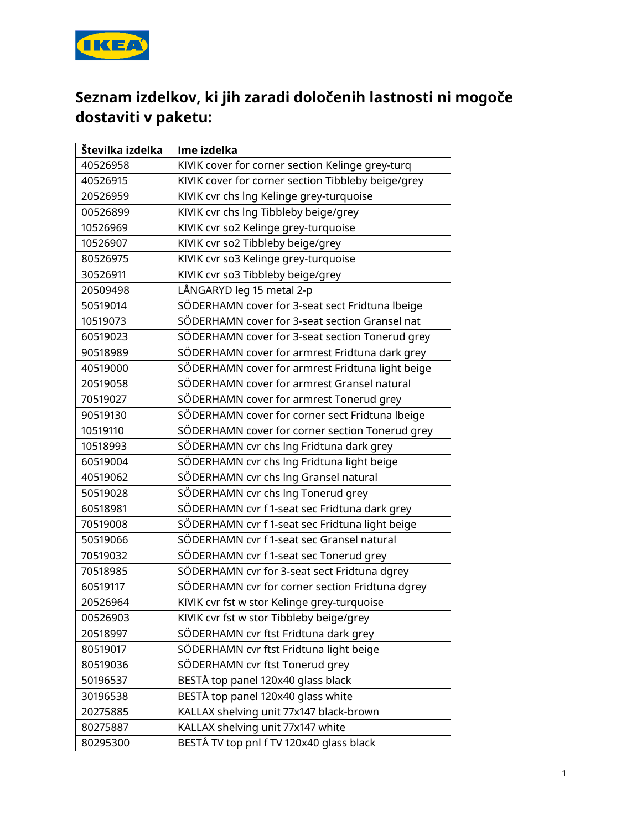

## **Seznam izdelkov, ki jih zaradi določenih lastnosti ni mogoče dostaviti v paketu:**

| Številka izdelka | Ime izdelka                                        |
|------------------|----------------------------------------------------|
| 40526958         | KIVIK cover for corner section Kelinge grey-turq   |
| 40526915         | KIVIK cover for corner section Tibbleby beige/grey |
| 20526959         | KIVIK cvr chs Ing Kelinge grey-turquoise           |
| 00526899         | KIVIK cvr chs Ing Tibbleby beige/grey              |
| 10526969         | KIVIK cvr so2 Kelinge grey-turquoise               |
| 10526907         | KIVIK cvr so2 Tibbleby beige/grey                  |
| 80526975         | KIVIK cvr so3 Kelinge grey-turquoise               |
| 30526911         | KIVIK cvr so3 Tibbleby beige/grey                  |
| 20509498         | LÅNGARYD leg 15 metal 2-p                          |
| 50519014         | SÖDERHAMN cover for 3-seat sect Fridtuna Ibeige    |
| 10519073         | SÖDERHAMN cover for 3-seat section Gransel nat     |
| 60519023         | SÖDERHAMN cover for 3-seat section Tonerud grey    |
| 90518989         | SÖDERHAMN cover for armrest Fridtuna dark grey     |
| 40519000         | SÖDERHAMN cover for armrest Fridtuna light beige   |
| 20519058         | SÖDERHAMN cover for armrest Gransel natural        |
| 70519027         | SÖDERHAMN cover for armrest Tonerud grey           |
| 90519130         | SÖDERHAMN cover for corner sect Fridtuna Ibeige    |
| 10519110         | SÖDERHAMN cover for corner section Tonerud grey    |
| 10518993         | SÖDERHAMN cvr chs lng Fridtuna dark grey           |
| 60519004         | SÖDERHAMN cvr chs Ing Fridtuna light beige         |
| 40519062         | SÖDERHAMN cvr chs Ing Gransel natural              |
| 50519028         | SÖDERHAMN cvr chs Ing Tonerud grey                 |
| 60518981         | SÖDERHAMN cvr f 1-seat sec Fridtuna dark grey      |
| 70519008         | SÖDERHAMN cvr f 1-seat sec Fridtuna light beige    |
| 50519066         | SÖDERHAMN cvr f 1-seat sec Gransel natural         |
| 70519032         | SÖDERHAMN cvr f 1-seat sec Tonerud grey            |
| 70518985         | SÖDERHAMN cvr for 3-seat sect Fridtuna dgrey       |
| 60519117         | SÖDERHAMN cvr for corner section Fridtuna dgrey    |
| 20526964         | KIVIK cvr fst w stor Kelinge grey-turquoise        |
| 00526903         | KIVIK cvr fst w stor Tibbleby beige/grey           |
| 20518997         | SÖDERHAMN cvr ftst Fridtuna dark grey              |
| 80519017         | SÖDERHAMN cvr ftst Fridtuna light beige            |
| 80519036         | SÖDERHAMN cvr ftst Tonerud grey                    |
| 50196537         | BESTÅ top panel 120x40 glass black                 |
| 30196538         | BESTÅ top panel 120x40 glass white                 |
| 20275885         | KALLAX shelving unit 77x147 black-brown            |
| 80275887         | KALLAX shelving unit 77x147 white                  |
| 80295300         | BESTÅ TV top pnl f TV 120x40 glass black           |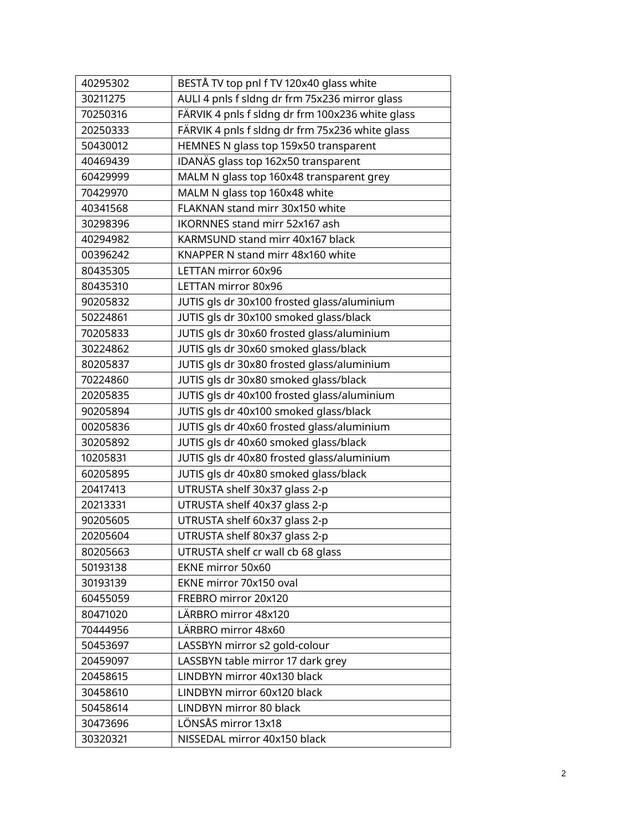| 40295302 | BESTÅ TV top pnl f TV 120x40 glass white         |
|----------|--------------------------------------------------|
| 30211275 | AULI 4 pnls f sldng dr frm 75x236 mirror glass   |
| 70250316 | FÄRVIK 4 pnls f sldng dr frm 100x236 white glass |
| 20250333 | FÄRVIK 4 pnls f sldng dr frm 75x236 white glass  |
| 50430012 | HEMNES N glass top 159x50 transparent            |
| 40469439 | IDANAS glass top 162x50 transparent              |
| 60429999 | MALM N glass top 160x48 transparent grey         |
| 70429970 | MALM N glass top 160x48 white                    |
| 40341568 | FLAKNAN stand mirr 30x150 white                  |
| 30298396 | IKORNNES stand mirr 52x167 ash                   |
| 40294982 | KARMSUND stand mirr 40x167 black                 |
| 00396242 | KNAPPER N stand mirr 48x160 white                |
| 80435305 | LETTAN mirror 60x96                              |
| 80435310 | LETTAN mirror 80x96                              |
| 90205832 | JUTIS gls dr 30x100 frosted glass/aluminium      |
| 50224861 | JUTIS gls dr 30x100 smoked glass/black           |
| 70205833 | JUTIS gls dr 30x60 frosted glass/aluminium       |
| 30224862 | JUTIS gls dr 30x60 smoked glass/black            |
| 80205837 | JUTIS gls dr 30x80 frosted glass/aluminium       |
| 70224860 | JUTIS gls dr 30x80 smoked glass/black            |
| 20205835 | JUTIS gls dr 40x100 frosted glass/aluminium      |
| 90205894 | JUTIS gls dr 40x100 smoked glass/black           |
| 00205836 | JUTIS gls dr 40x60 frosted glass/aluminium       |
| 30205892 | JUTIS gls dr 40x60 smoked glass/black            |
| 10205831 | JUTIS gls dr 40x80 frosted glass/aluminium       |
| 60205895 | JUTIS gls dr 40x80 smoked glass/black            |
| 20417413 | UTRUSTA shelf 30x37 glass 2-p                    |
| 20213331 | UTRUSTA shelf 40x37 glass 2-p                    |
| 90205605 | UTRUSTA shelf 60x37 glass 2-p                    |
| 20205604 | UTRUSTA shelf 80x37 glass 2-p                    |
| 80205663 | UTRUSTA shelf cr wall cb 68 glass                |
| 50193138 | EKNE mirror 50x60                                |
| 30193139 | EKNE mirror 70x150 oval                          |
| 60455059 | FREBRO mirror 20x120                             |
| 80471020 | LÄRBRO mirror 48x120                             |
| 70444956 | LÄRBRO mirror 48x60                              |
| 50453697 | LASSBYN mirror s2 gold-colour                    |
| 20459097 | LASSBYN table mirror 17 dark grey                |
| 20458615 | LINDBYN mirror 40x130 black                      |
| 30458610 | LINDBYN mirror 60x120 black                      |
| 50458614 | LINDBYN mirror 80 black                          |
| 30473696 | LÖNSÅS mirror 13x18                              |
| 30320321 | NISSEDAL mirror 40x150 black                     |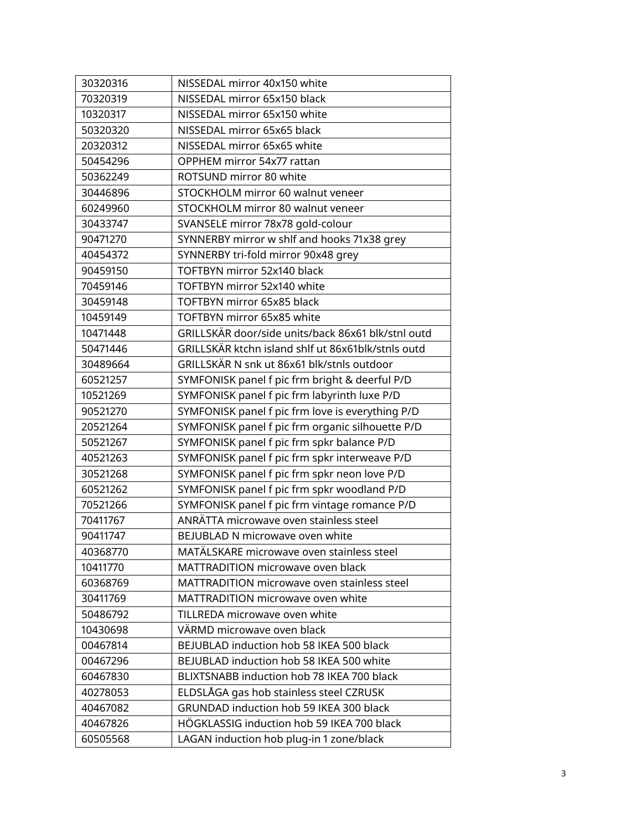| 30320316 | NISSEDAL mirror 40x150 white                       |
|----------|----------------------------------------------------|
| 70320319 | NISSEDAL mirror 65x150 black                       |
| 10320317 | NISSEDAL mirror 65x150 white                       |
| 50320320 | NISSEDAL mirror 65x65 black                        |
| 20320312 | NISSEDAL mirror 65x65 white                        |
| 50454296 | OPPHEM mirror 54x77 rattan                         |
| 50362249 | ROTSUND mirror 80 white                            |
| 30446896 | STOCKHOLM mirror 60 walnut veneer                  |
| 60249960 | STOCKHOLM mirror 80 walnut veneer                  |
| 30433747 | SVANSELE mirror 78x78 gold-colour                  |
| 90471270 | SYNNERBY mirror w shlf and hooks 71x38 grey        |
| 40454372 | SYNNERBY tri-fold mirror 90x48 grey                |
| 90459150 | TOFTBYN mirror 52x140 black                        |
| 70459146 | TOFTBYN mirror 52x140 white                        |
| 30459148 | TOFTBYN mirror 65x85 black                         |
| 10459149 | TOFTBYN mirror 65x85 white                         |
| 10471448 | GRILLSKÄR door/side units/back 86x61 blk/stnl outd |
| 50471446 | GRILLSKÄR ktchn island shlf ut 86x61blk/stnls outd |
| 30489664 | GRILLSKÄR N snk ut 86x61 blk/stnls outdoor         |
| 60521257 | SYMFONISK panel f pic frm bright & deerful P/D     |
| 10521269 | SYMFONISK panel f pic frm labyrinth luxe P/D       |
| 90521270 | SYMFONISK panel f pic frm love is everything P/D   |
| 20521264 | SYMFONISK panel f pic frm organic silhouette P/D   |
| 50521267 | SYMFONISK panel f pic frm spkr balance P/D         |
| 40521263 | SYMFONISK panel f pic frm spkr interweave P/D      |
| 30521268 | SYMFONISK panel f pic frm spkr neon love P/D       |
| 60521262 | SYMFONISK panel f pic frm spkr woodland P/D        |
| 70521266 | SYMFONISK panel f pic frm vintage romance P/D      |
| 70411767 | ANRÄTTA microwave oven stainless steel             |
| 90411747 | BEJUBLAD N microwave oven white                    |
| 40368770 | MATÄLSKARE microwave oven stainless steel          |
| 10411770 | MATTRADITION microwave oven black                  |
| 60368769 | MATTRADITION microwave oven stainless steel        |
| 30411769 | MATTRADITION microwave oven white                  |
| 50486792 | TILLREDA microwave oven white                      |
| 10430698 | VÄRMD microwave oven black                         |
| 00467814 | BEJUBLAD induction hob 58 IKEA 500 black           |
| 00467296 | BEJUBLAD induction hob 58 IKEA 500 white           |
| 60467830 | BLIXTSNABB induction hob 78 IKEA 700 black         |
| 40278053 | ELDSLÅGA gas hob stainless steel CZRUSK            |
| 40467082 | GRUNDAD induction hob 59 IKEA 300 black            |
| 40467826 | HÖGKLASSIG induction hob 59 IKEA 700 black         |
| 60505568 | LAGAN induction hob plug-in 1 zone/black           |